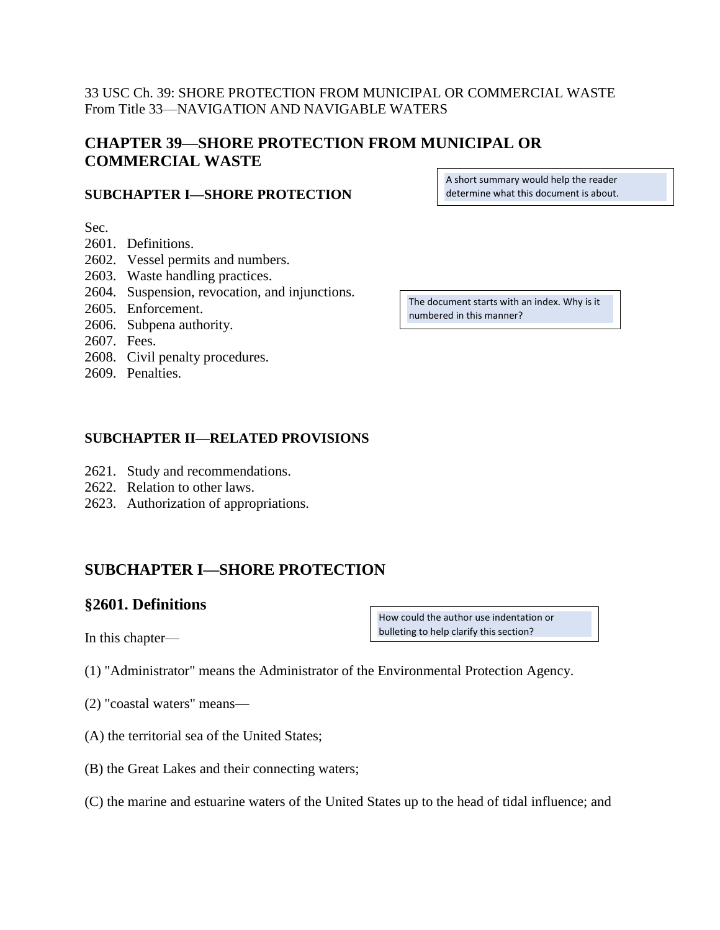## 33 USC Ch. 39: SHORE PROTECTION FROM MUNICIPAL OR COMMERCIAL WASTE From Title 33—NAVIGATION AND NAVIGABLE WATERS

# **CHAPTER 39—SHORE PROTECTION FROM MUNICIPAL OR COMMERCIAL WASTE**

### **SUBCHAPTER I—SHORE PROTECTION**

Sec.

- 2601. Definitions.
- 2602. Vessel permits and numbers.
- 2603. Waste handling practices.
- 2604. Suspension, revocation, and injunctions.
- 2605. Enforcement.
- 2606. Subpena authority.
- 2607. Fees.
- 2608. Civil penalty procedures.
- 2609. Penalties.

### **SUBCHAPTER II—RELATED PROVISIONS**

- 2621. Study and recommendations.
- 2622. Relation to other laws.
- 2623. Authorization of appropriations.

# **SUBCHAPTER I—SHORE PROTECTION**

## **§2601. Definitions**

In this chapter—

- (1) "Administrator" means the Administrator of the Environmental Protection Agency.
- (2) "coastal waters" means—
- (A) the territorial sea of the United States;
- (B) the Great Lakes and their connecting waters;
- (C) the marine and estuarine waters of the United States up to the head of tidal influence; and

A short summary would help the reader determine what this document is about.

The document starts with an index. Why is it numbered in this manner?

How could the author use indentation or bulleting to help clarify this section?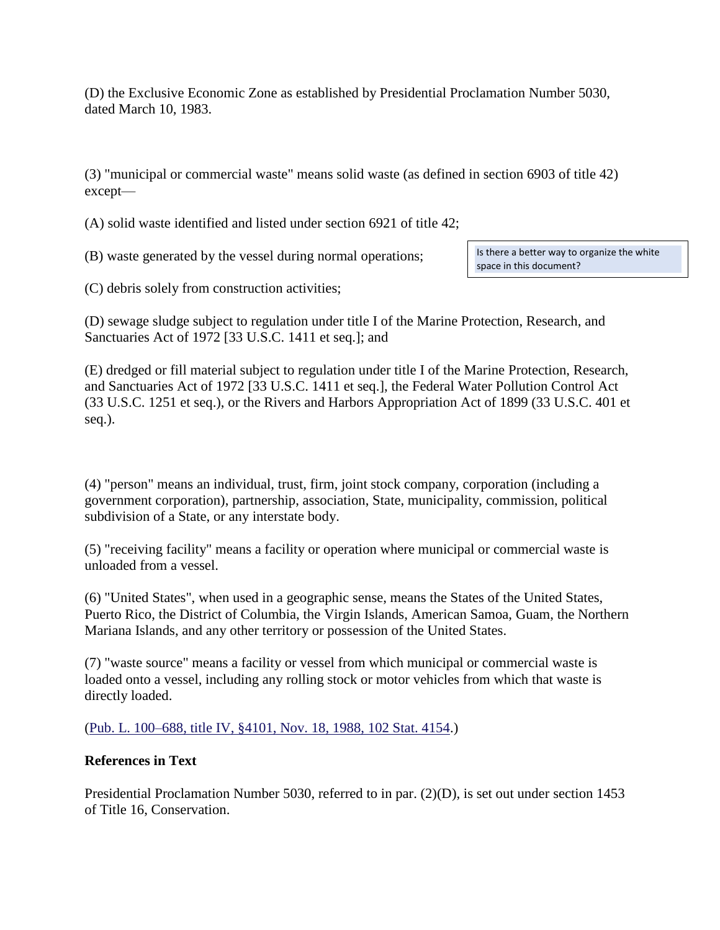(D) the Exclusive Economic Zone as established by Presidential Proclamation Number 5030, dated March 10, 1983.

(3) "municipal or commercial waste" means solid waste (as defined in section 6903 of title 42) except—

(A) solid waste identified and listed under section 6921 of title 42;

(B) waste generated by the vessel during normal operations;

Is there a better way to organize the white space in this document?

(C) debris solely from construction activities;

(D) sewage sludge subject to regulation under title I of the Marine Protection, Research, and Sanctuaries Act of 1972 [33 U.S.C. 1411 et seq.]; and

(E) dredged or fill material subject to regulation under title I of the Marine Protection, Research, and Sanctuaries Act of 1972 [33 U.S.C. 1411 et seq.], the Federal Water Pollution Control Act (33 U.S.C. 1251 et seq.), or the Rivers and Harbors Appropriation Act of 1899 (33 U.S.C. 401 et seq.).

(4) "person" means an individual, trust, firm, joint stock company, corporation (including a government corporation), partnership, association, State, municipality, commission, political subdivision of a State, or any interstate body.

(5) "receiving facility" means a facility or operation where municipal or commercial waste is unloaded from a vessel.

(6) "United States", when used in a geographic sense, means the States of the United States, Puerto Rico, the District of Columbia, the Virgin Islands, American Samoa, Guam, the Northern Mariana Islands, and any other territory or possession of the United States.

(7) "waste source" means a facility or vessel from which municipal or commercial waste is loaded onto a vessel, including any rolling stock or motor vehicles from which that waste is directly loaded.

## [\(Pub. L. 100–688, title IV, §4101, Nov. 18, 1988, 102 Stat. 4154.](http://uscode.house.gov/statviewer.htm?volume=102&page=4154))

## **References in Text**

Presidential Proclamation Number 5030, referred to in par. (2)(D), is set out under section 1453 of Title 16, Conservation.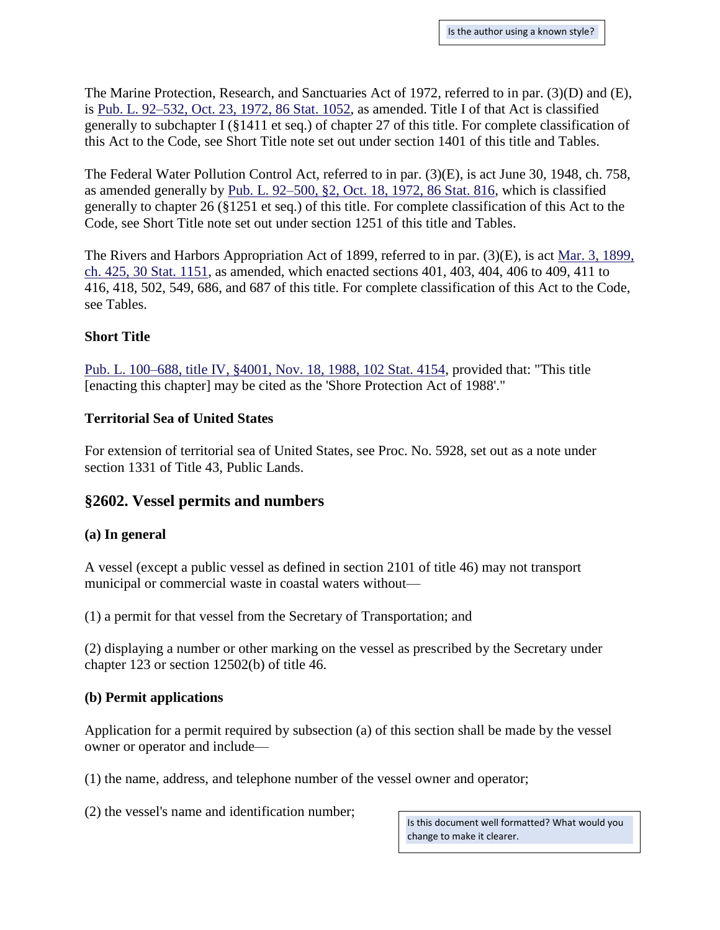The Marine Protection, Research, and Sanctuaries Act of 1972, referred to in par. (3)(D) and (E), is [Pub. L. 92–532, Oct. 23, 1972, 86 Stat. 1052,](http://uscode.house.gov/statviewer.htm?volume=86&page=1052) as amended. Title I of that Act is classified generally to subchapter I (§1411 et seq.) of chapter 27 of this title. For complete classification of this Act to the Code, see Short Title note set out under section 1401 of this title and Tables.

The Federal Water Pollution Control Act, referred to in par. (3)(E), is act June 30, 1948, ch. 758, as amended generally by [Pub. L. 92–500, §2, Oct. 18, 1972, 86 Stat. 816,](http://uscode.house.gov/statviewer.htm?volume=86&page=816) which is classified generally to chapter 26 (§1251 et seq.) of this title. For complete classification of this Act to the Code, see Short Title note set out under section 1251 of this title and Tables.

The Rivers and Harbors Appropriation Act of 1899, referred to in par. (3)(E), is act [Mar. 3, 1899,](http://uscode.house.gov/statviewer.htm?volume=30&page=1151)  [ch. 425, 30 Stat. 1151,](http://uscode.house.gov/statviewer.htm?volume=30&page=1151) as amended, which enacted sections 401, 403, 404, 406 to 409, 411 to 416, 418, 502, 549, 686, and 687 of this title. For complete classification of this Act to the Code, see Tables.

### **Short Title**

[Pub. L. 100–688, title IV, §4001, Nov. 18, 1988, 102 Stat. 4154,](http://uscode.house.gov/statviewer.htm?volume=102&page=4154) provided that: "This title [enacting this chapter] may be cited as the 'Shore Protection Act of 1988'."

#### **Territorial Sea of United States**

For extension of territorial sea of United States, see Proc. No. 5928, set out as a note under section 1331 of Title 43, Public Lands.

## **§2602. Vessel permits and numbers**

#### **(a) In general**

A vessel (except a public vessel as defined in section 2101 of title 46) may not transport municipal or commercial waste in coastal waters without—

(1) a permit for that vessel from the Secretary of Transportation; and

(2) displaying a number or other marking on the vessel as prescribed by the Secretary under chapter 123 or section 12502(b) of title 46.

#### **(b) Permit applications**

Application for a permit required by subsection (a) of this section shall be made by the vessel owner or operator and include—

(1) the name, address, and telephone number of the vessel owner and operator;

(2) the vessel's name and identification number;

Is this document well formatted? What would you change to make it clearer.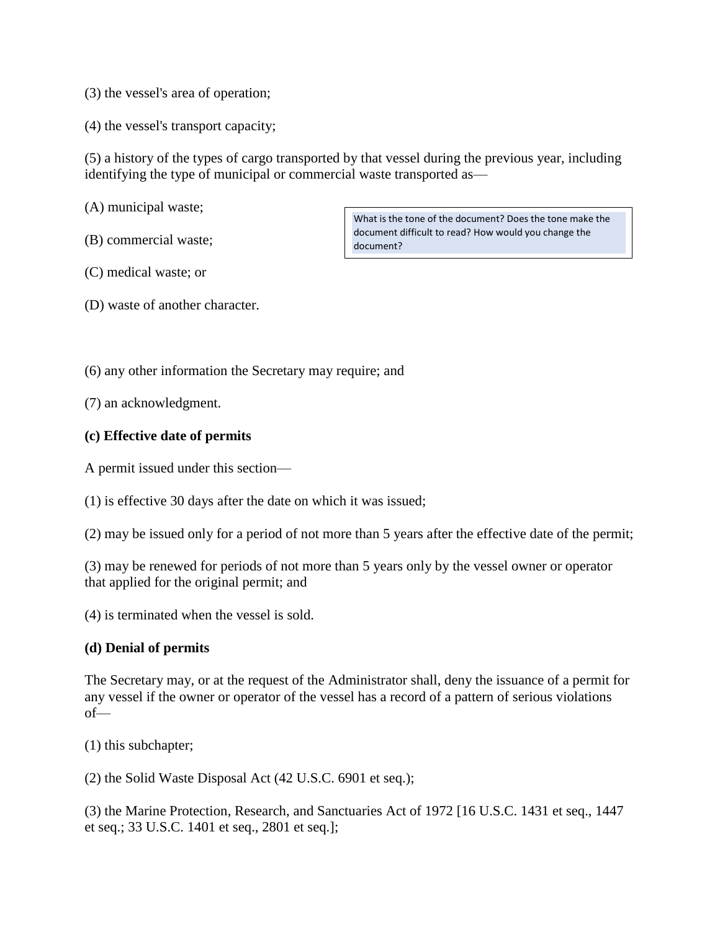(3) the vessel's area of operation;

(4) the vessel's transport capacity;

(5) a history of the types of cargo transported by that vessel during the previous year, including identifying the type of municipal or commercial waste transported as—

(A) municipal waste;

(B) commercial waste;

(C) medical waste; or

(D) waste of another character.

(6) any other information the Secretary may require; and

(7) an acknowledgment.

## **(c) Effective date of permits**

A permit issued under this section—

(1) is effective 30 days after the date on which it was issued;

(2) may be issued only for a period of not more than 5 years after the effective date of the permit;

(3) may be renewed for periods of not more than 5 years only by the vessel owner or operator that applied for the original permit; and

(4) is terminated when the vessel is sold.

#### **(d) Denial of permits**

The Secretary may, or at the request of the Administrator shall, deny the issuance of a permit for any vessel if the owner or operator of the vessel has a record of a pattern of serious violations of—

(1) this subchapter;

(2) the Solid Waste Disposal Act (42 U.S.C. 6901 et seq.);

(3) the Marine Protection, Research, and Sanctuaries Act of 1972 [16 U.S.C. 1431 et seq., 1447 et seq.; 33 U.S.C. 1401 et seq., 2801 et seq.];

What is the tone of the document? Does the tone make the document difficult to read? How would you change the document?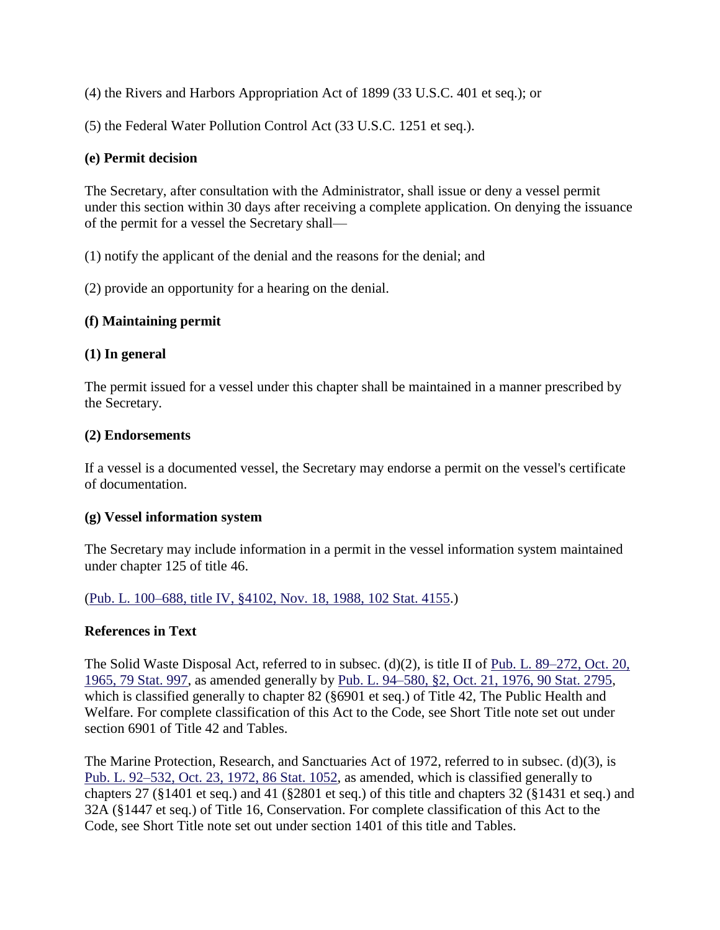(4) the Rivers and Harbors Appropriation Act of 1899 (33 U.S.C. 401 et seq.); or

(5) the Federal Water Pollution Control Act (33 U.S.C. 1251 et seq.).

#### **(e) Permit decision**

The Secretary, after consultation with the Administrator, shall issue or deny a vessel permit under this section within 30 days after receiving a complete application. On denying the issuance of the permit for a vessel the Secretary shall—

(1) notify the applicant of the denial and the reasons for the denial; and

(2) provide an opportunity for a hearing on the denial.

#### **(f) Maintaining permit**

### **(1) In general**

The permit issued for a vessel under this chapter shall be maintained in a manner prescribed by the Secretary.

#### **(2) Endorsements**

If a vessel is a documented vessel, the Secretary may endorse a permit on the vessel's certificate of documentation.

#### **(g) Vessel information system**

The Secretary may include information in a permit in the vessel information system maintained under chapter 125 of title 46.

[\(Pub. L. 100–688, title IV, §4102, Nov. 18, 1988, 102 Stat. 4155.](http://uscode.house.gov/statviewer.htm?volume=102&page=4155))

#### **References in Text**

The Solid Waste Disposal Act, referred to in subsec. (d)(2), is title II of Pub. L. [89–272, Oct. 20,](http://uscode.house.gov/statviewer.htm?volume=79&page=997)  [1965, 79 Stat. 997,](http://uscode.house.gov/statviewer.htm?volume=79&page=997) as amended generally by [Pub. L. 94–580, §2, Oct. 21, 1976, 90 Stat. 2795,](http://uscode.house.gov/statviewer.htm?volume=90&page=2795) which is classified generally to chapter 82 (§6901 et seq.) of Title 42, The Public Health and Welfare. For complete classification of this Act to the Code, see Short Title note set out under section 6901 of Title 42 and Tables.

The Marine Protection, Research, and Sanctuaries Act of 1972, referred to in subsec. (d)(3), is [Pub. L. 92–532, Oct. 23, 1972, 86 Stat. 1052,](http://uscode.house.gov/statviewer.htm?volume=86&page=1052) as amended, which is classified generally to chapters 27 (§1401 et seq.) and 41 (§2801 et seq.) of this title and chapters 32 (§1431 et seq.) and 32A (§1447 et seq.) of Title 16, Conservation. For complete classification of this Act to the Code, see Short Title note set out under section 1401 of this title and Tables.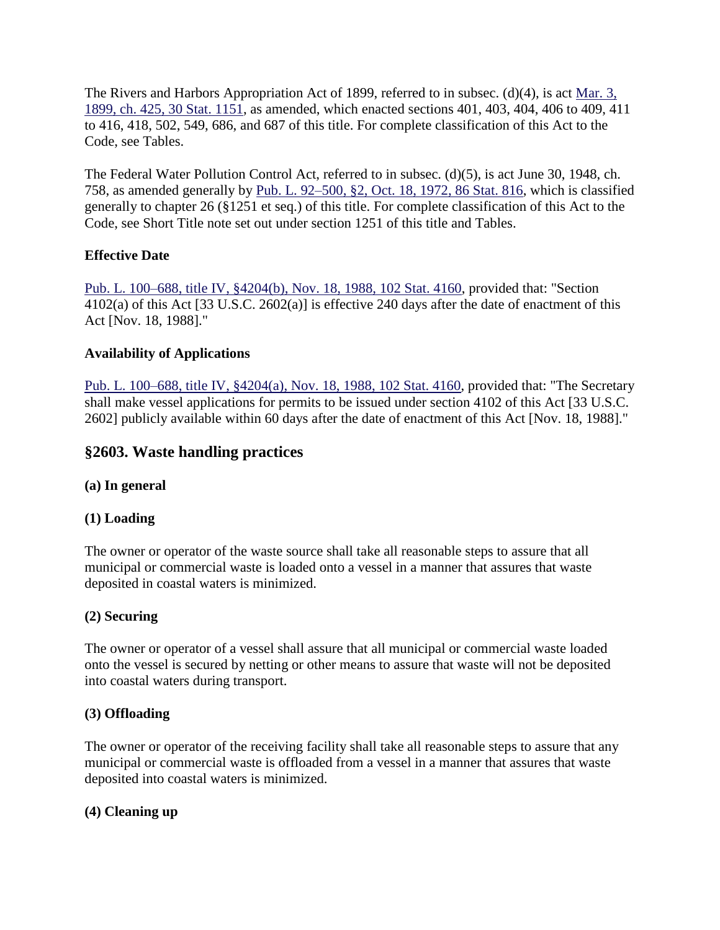The Rivers and Harbors Appropriation Act of 1899, referred to in subsec. (d)(4), is act Mar. 3, [1899, ch. 425, 30 Stat. 1151,](http://uscode.house.gov/statviewer.htm?volume=30&page=1151) as amended, which enacted sections 401, 403, 404, 406 to 409, 411 to 416, 418, 502, 549, 686, and 687 of this title. For complete classification of this Act to the Code, see Tables.

The Federal Water Pollution Control Act, referred to in subsec. (d)(5), is act June 30, 1948, ch. 758, as amended generally by [Pub. L. 92–500, §2, Oct. 18, 1972, 86 Stat. 816,](http://uscode.house.gov/statviewer.htm?volume=86&page=816) which is classified generally to chapter 26 (§1251 et seq.) of this title. For complete classification of this Act to the Code, see Short Title note set out under section 1251 of this title and Tables.

# **Effective Date**

[Pub. L. 100–688, title IV, §4204\(b\), Nov. 18, 1988, 102 Stat. 4160,](http://uscode.house.gov/statviewer.htm?volume=102&page=4160) provided that: "Section 4102(a) of this Act [33 U.S.C. 2602(a)] is effective 240 days after the date of enactment of this Act [Nov. 18, 1988]."

# **Availability of Applications**

[Pub. L. 100–688, title IV, §4204\(a\), Nov. 18, 1988, 102 Stat. 4160,](http://uscode.house.gov/statviewer.htm?volume=102&page=4160) provided that: "The Secretary shall make vessel applications for permits to be issued under section 4102 of this Act [33 U.S.C. 2602] publicly available within 60 days after the date of enactment of this Act [Nov. 18, 1988]."

# **§2603. Waste handling practices**

## **(a) In general**

## **(1) Loading**

The owner or operator of the waste source shall take all reasonable steps to assure that all municipal or commercial waste is loaded onto a vessel in a manner that assures that waste deposited in coastal waters is minimized.

## **(2) Securing**

The owner or operator of a vessel shall assure that all municipal or commercial waste loaded onto the vessel is secured by netting or other means to assure that waste will not be deposited into coastal waters during transport.

## **(3) Offloading**

The owner or operator of the receiving facility shall take all reasonable steps to assure that any municipal or commercial waste is offloaded from a vessel in a manner that assures that waste deposited into coastal waters is minimized.

## **(4) Cleaning up**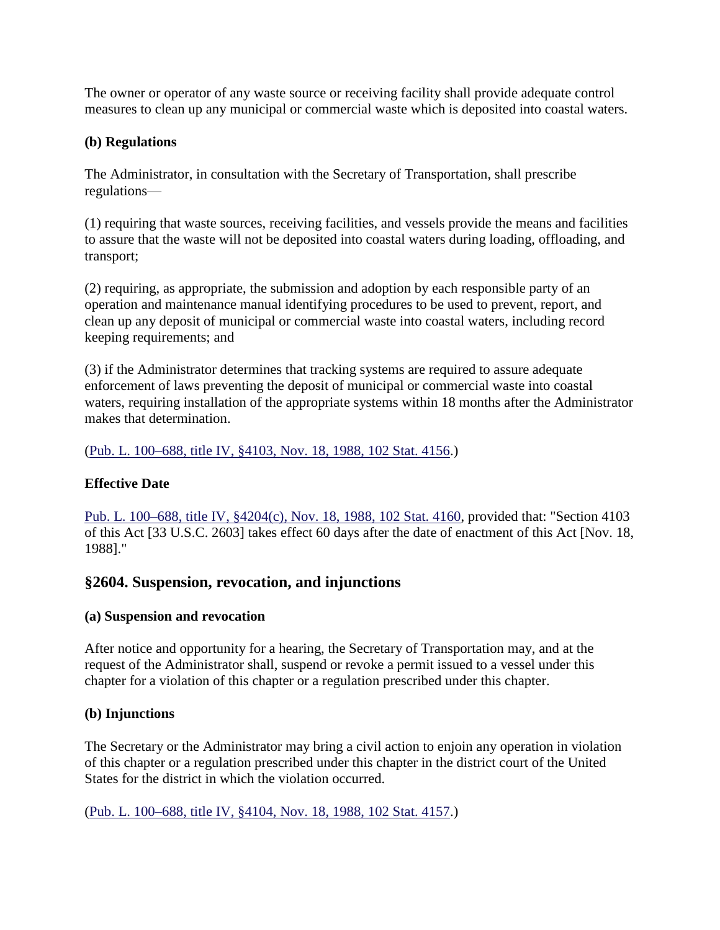The owner or operator of any waste source or receiving facility shall provide adequate control measures to clean up any municipal or commercial waste which is deposited into coastal waters.

## **(b) Regulations**

The Administrator, in consultation with the Secretary of Transportation, shall prescribe regulations—

(1) requiring that waste sources, receiving facilities, and vessels provide the means and facilities to assure that the waste will not be deposited into coastal waters during loading, offloading, and transport;

(2) requiring, as appropriate, the submission and adoption by each responsible party of an operation and maintenance manual identifying procedures to be used to prevent, report, and clean up any deposit of municipal or commercial waste into coastal waters, including record keeping requirements; and

(3) if the Administrator determines that tracking systems are required to assure adequate enforcement of laws preventing the deposit of municipal or commercial waste into coastal waters, requiring installation of the appropriate systems within 18 months after the Administrator makes that determination.

[\(Pub. L. 100–688, title IV, §4103, Nov. 18, 1988, 102 Stat. 4156.](http://uscode.house.gov/statviewer.htm?volume=102&page=4156))

# **Effective Date**

[Pub. L. 100–688, title IV, §4204\(c\), Nov. 18, 1988, 102 Stat. 4160,](http://uscode.house.gov/statviewer.htm?volume=102&page=4160) provided that: "Section 4103 of this Act [33 U.S.C. 2603] takes effect 60 days after the date of enactment of this Act [Nov. 18, 1988]."

# **§2604. Suspension, revocation, and injunctions**

## **(a) Suspension and revocation**

After notice and opportunity for a hearing, the Secretary of Transportation may, and at the request of the Administrator shall, suspend or revoke a permit issued to a vessel under this chapter for a violation of this chapter or a regulation prescribed under this chapter.

## **(b) Injunctions**

The Secretary or the Administrator may bring a civil action to enjoin any operation in violation of this chapter or a regulation prescribed under this chapter in the district court of the United States for the district in which the violation occurred.

[\(Pub. L. 100–688, title IV, §4104, Nov. 18, 1988, 102 Stat. 4157.](http://uscode.house.gov/statviewer.htm?volume=102&page=4157))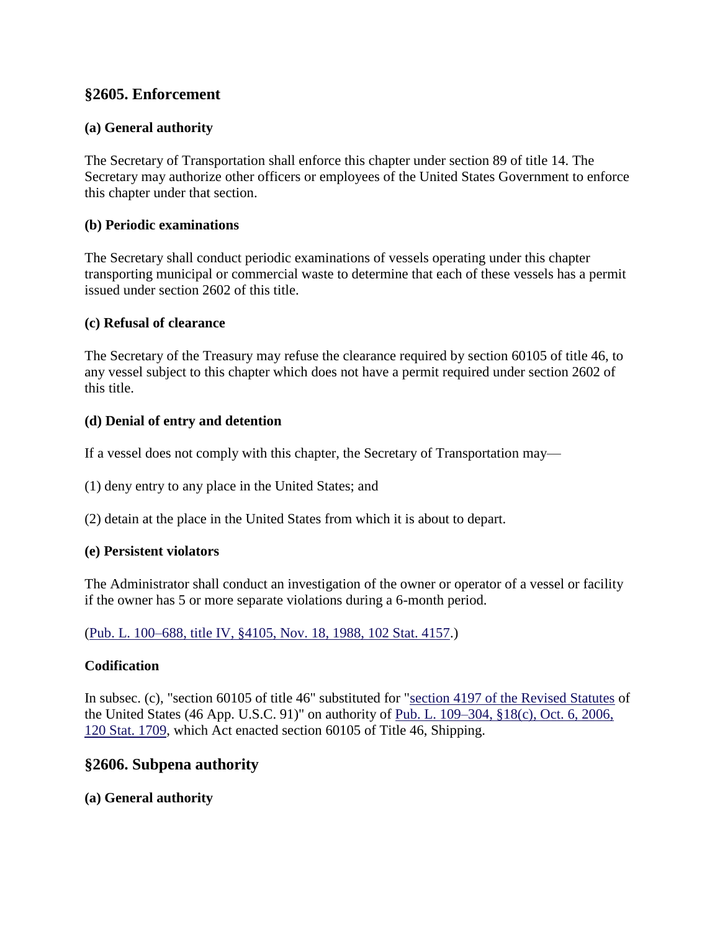# **§2605. Enforcement**

## **(a) General authority**

The Secretary of Transportation shall enforce this chapter under section 89 of title 14. The Secretary may authorize other officers or employees of the United States Government to enforce this chapter under that section.

### **(b) Periodic examinations**

The Secretary shall conduct periodic examinations of vessels operating under this chapter transporting municipal or commercial waste to determine that each of these vessels has a permit issued under section 2602 of this title.

### **(c) Refusal of clearance**

The Secretary of the Treasury may refuse the clearance required by section 60105 of title 46, to any vessel subject to this chapter which does not have a permit required under section 2602 of this title.

### **(d) Denial of entry and detention**

If a vessel does not comply with this chapter, the Secretary of Transportation may—

- (1) deny entry to any place in the United States; and
- (2) detain at the place in the United States from which it is about to depart.

#### **(e) Persistent violators**

The Administrator shall conduct an investigation of the owner or operator of a vessel or facility if the owner has 5 or more separate violations during a 6-month period.

[\(Pub. L. 100–688, title IV, §4105, Nov. 18, 1988, 102 Stat. 4157.](http://uscode.house.gov/statviewer.htm?volume=102&page=4157))

## **Codification**

In subsec. (c), "section 60105 of title 46" substituted for ["section 4197 of the Revised Statutes](http://uscode.house.gov/statviewer.htm?volume=rs&page=809) of the United States (46 App. U.S.C. 91)" on authority of [Pub. L. 109–304, §18\(c\), Oct. 6, 2006,](http://uscode.house.gov/statviewer.htm?volume=120&page=1709)  [120 Stat. 1709,](http://uscode.house.gov/statviewer.htm?volume=120&page=1709) which Act enacted section 60105 of Title 46, Shipping.

# **§2606. Subpena authority**

## **(a) General authority**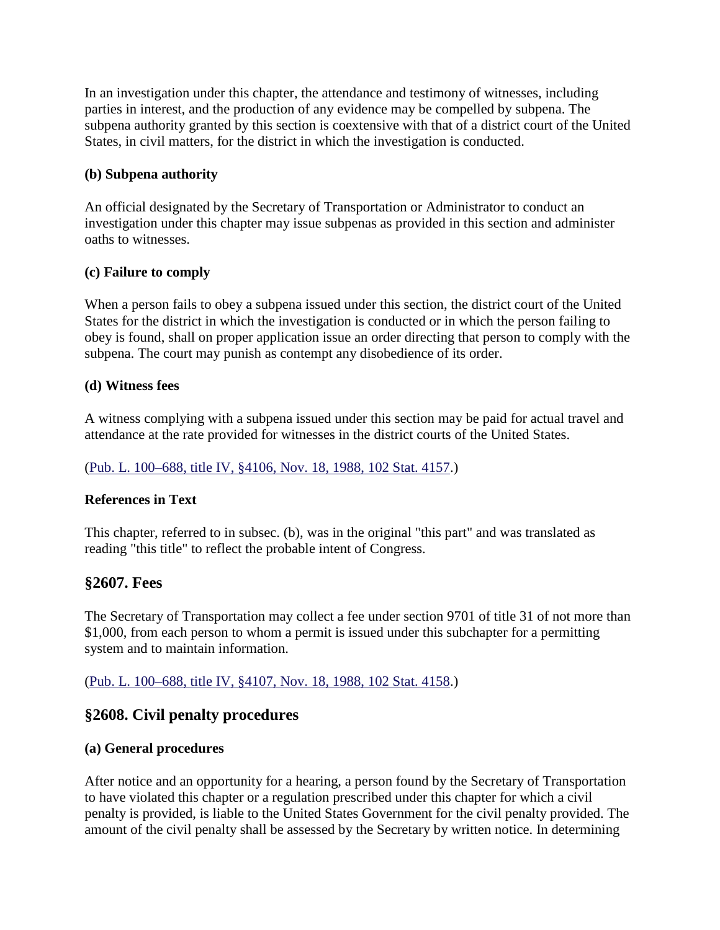In an investigation under this chapter, the attendance and testimony of witnesses, including parties in interest, and the production of any evidence may be compelled by subpena. The subpena authority granted by this section is coextensive with that of a district court of the United States, in civil matters, for the district in which the investigation is conducted.

## **(b) Subpena authority**

An official designated by the Secretary of Transportation or Administrator to conduct an investigation under this chapter may issue subpenas as provided in this section and administer oaths to witnesses.

### **(c) Failure to comply**

When a person fails to obey a subpena issued under this section, the district court of the United States for the district in which the investigation is conducted or in which the person failing to obey is found, shall on proper application issue an order directing that person to comply with the subpena. The court may punish as contempt any disobedience of its order.

### **(d) Witness fees**

A witness complying with a subpena issued under this section may be paid for actual travel and attendance at the rate provided for witnesses in the district courts of the United States.

### [\(Pub. L. 100–688, title IV, §4106, Nov. 18, 1988, 102 Stat. 4157.](http://uscode.house.gov/statviewer.htm?volume=102&page=4157))

## **References in Text**

This chapter, referred to in subsec. (b), was in the original "this part" and was translated as reading "this title" to reflect the probable intent of Congress.

## **§2607. Fees**

The Secretary of Transportation may collect a fee under section 9701 of title 31 of not more than \$1,000, from each person to whom a permit is issued under this subchapter for a permitting system and to maintain information.

[\(Pub. L. 100–688, title IV, §4107, Nov. 18, 1988, 102 Stat. 4158.](http://uscode.house.gov/statviewer.htm?volume=102&page=4158))

# **§2608. Civil penalty procedures**

#### **(a) General procedures**

After notice and an opportunity for a hearing, a person found by the Secretary of Transportation to have violated this chapter or a regulation prescribed under this chapter for which a civil penalty is provided, is liable to the United States Government for the civil penalty provided. The amount of the civil penalty shall be assessed by the Secretary by written notice. In determining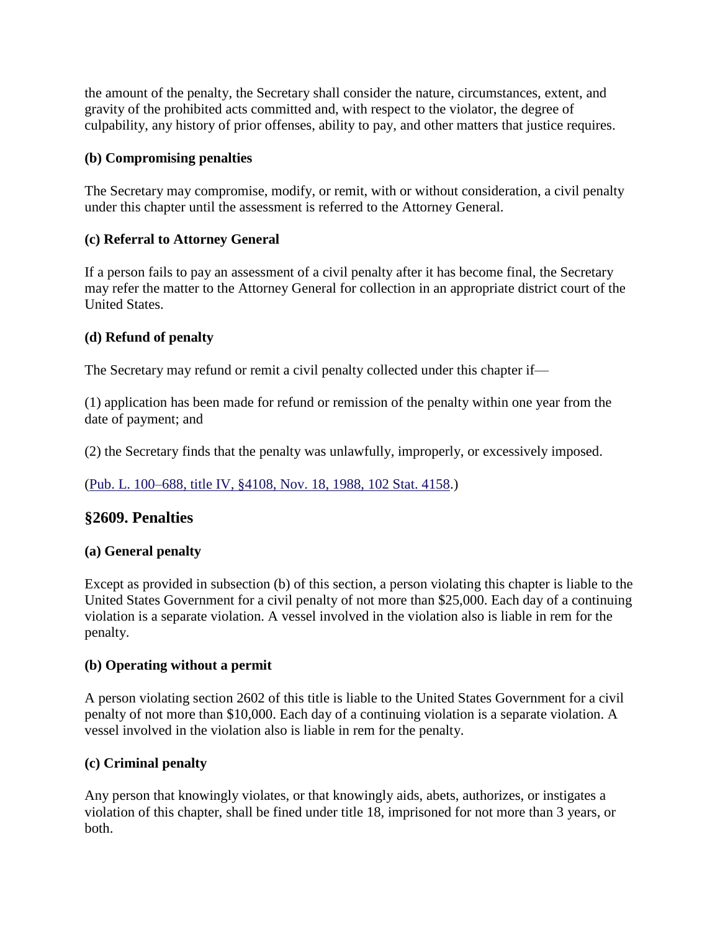the amount of the penalty, the Secretary shall consider the nature, circumstances, extent, and gravity of the prohibited acts committed and, with respect to the violator, the degree of culpability, any history of prior offenses, ability to pay, and other matters that justice requires.

## **(b) Compromising penalties**

The Secretary may compromise, modify, or remit, with or without consideration, a civil penalty under this chapter until the assessment is referred to the Attorney General.

# **(c) Referral to Attorney General**

If a person fails to pay an assessment of a civil penalty after it has become final, the Secretary may refer the matter to the Attorney General for collection in an appropriate district court of the United States.

# **(d) Refund of penalty**

The Secretary may refund or remit a civil penalty collected under this chapter if—

(1) application has been made for refund or remission of the penalty within one year from the date of payment; and

(2) the Secretary finds that the penalty was unlawfully, improperly, or excessively imposed.

# [\(Pub. L. 100–688, title IV, §4108, Nov. 18, 1988, 102 Stat. 4158.](http://uscode.house.gov/statviewer.htm?volume=102&page=4158))

# **§2609. Penalties**

## **(a) General penalty**

Except as provided in subsection (b) of this section, a person violating this chapter is liable to the United States Government for a civil penalty of not more than \$25,000. Each day of a continuing violation is a separate violation. A vessel involved in the violation also is liable in rem for the penalty.

## **(b) Operating without a permit**

A person violating section 2602 of this title is liable to the United States Government for a civil penalty of not more than \$10,000. Each day of a continuing violation is a separate violation. A vessel involved in the violation also is liable in rem for the penalty.

## **(c) Criminal penalty**

Any person that knowingly violates, or that knowingly aids, abets, authorizes, or instigates a violation of this chapter, shall be fined under title 18, imprisoned for not more than 3 years, or both.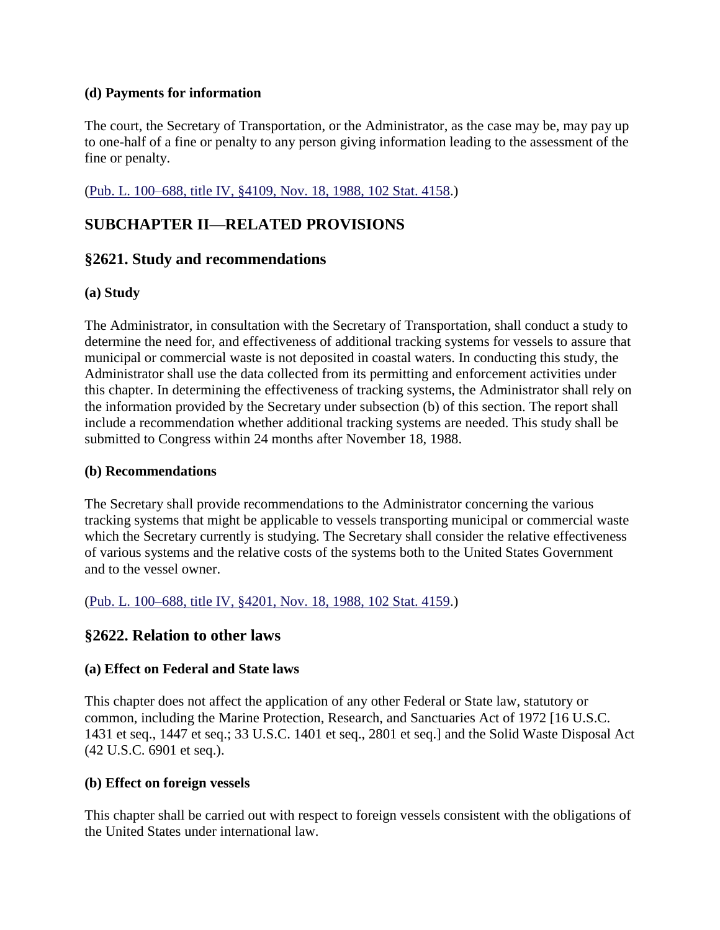### **(d) Payments for information**

The court, the Secretary of Transportation, or the Administrator, as the case may be, may pay up to one-half of a fine or penalty to any person giving information leading to the assessment of the fine or penalty.

[\(Pub. L. 100–688, title IV, §4109, Nov. 18, 1988, 102 Stat. 4158.](http://uscode.house.gov/statviewer.htm?volume=102&page=4158))

# **SUBCHAPTER II—RELATED PROVISIONS**

# **§2621. Study and recommendations**

## **(a) Study**

The Administrator, in consultation with the Secretary of Transportation, shall conduct a study to determine the need for, and effectiveness of additional tracking systems for vessels to assure that municipal or commercial waste is not deposited in coastal waters. In conducting this study, the Administrator shall use the data collected from its permitting and enforcement activities under this chapter. In determining the effectiveness of tracking systems, the Administrator shall rely on the information provided by the Secretary under subsection (b) of this section. The report shall include a recommendation whether additional tracking systems are needed. This study shall be submitted to Congress within 24 months after November 18, 1988.

### **(b) Recommendations**

The Secretary shall provide recommendations to the Administrator concerning the various tracking systems that might be applicable to vessels transporting municipal or commercial waste which the Secretary currently is studying. The Secretary shall consider the relative effectiveness of various systems and the relative costs of the systems both to the United States Government and to the vessel owner.

[\(Pub. L. 100–688, title IV, §4201, Nov. 18, 1988, 102 Stat. 4159.](http://uscode.house.gov/statviewer.htm?volume=102&page=4159))

# **§2622. Relation to other laws**

#### **(a) Effect on Federal and State laws**

This chapter does not affect the application of any other Federal or State law, statutory or common, including the Marine Protection, Research, and Sanctuaries Act of 1972 [16 U.S.C. 1431 et seq., 1447 et seq.; 33 U.S.C. 1401 et seq., 2801 et seq.] and the Solid Waste Disposal Act (42 U.S.C. 6901 et seq.).

#### **(b) Effect on foreign vessels**

This chapter shall be carried out with respect to foreign vessels consistent with the obligations of the United States under international law.